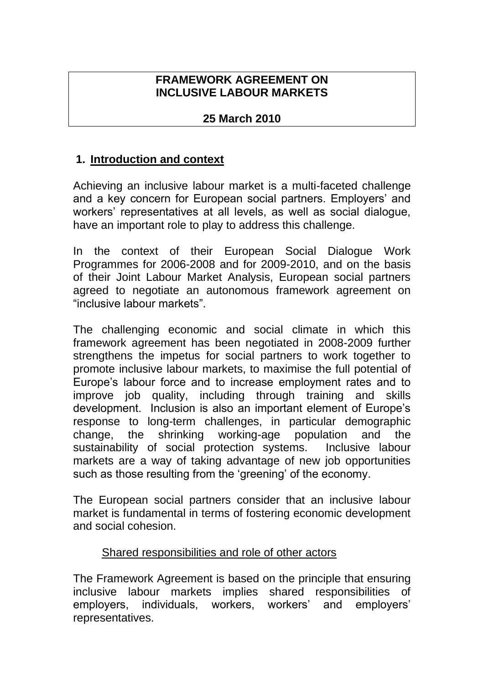### **FRAMEWORK AGREEMENT ON INCLUSIVE LABOUR MARKETS**

# **25 March 2010**

# **1. Introduction and context**

Achieving an inclusive labour market is a multi-faceted challenge and a key concern for European social partners. Employers' and workers' representatives at all levels, as well as social dialogue, have an important role to play to address this challenge.

In the context of their European Social Dialogue Work Programmes for 2006-2008 and for 2009-2010, and on the basis of their Joint Labour Market Analysis, European social partners agreed to negotiate an autonomous framework agreement on "inclusive labour markets".

The challenging economic and social climate in which this framework agreement has been negotiated in 2008-2009 further strengthens the impetus for social partners to work together to promote inclusive labour markets, to maximise the full potential of Europe's labour force and to increase employment rates and to improve job quality, including through training and skills development. Inclusion is also an important element of Europe's response to long-term challenges, in particular demographic change, the shrinking working-age population and the sustainability of social protection systems. Inclusive labour markets are a way of taking advantage of new job opportunities such as those resulting from the 'greening' of the economy.

The European social partners consider that an inclusive labour market is fundamental in terms of fostering economic development and social cohesion.

### Shared responsibilities and role of other actors

The Framework Agreement is based on the principle that ensuring inclusive labour markets implies shared responsibilities of employers, individuals, workers, workers' and employers' representatives.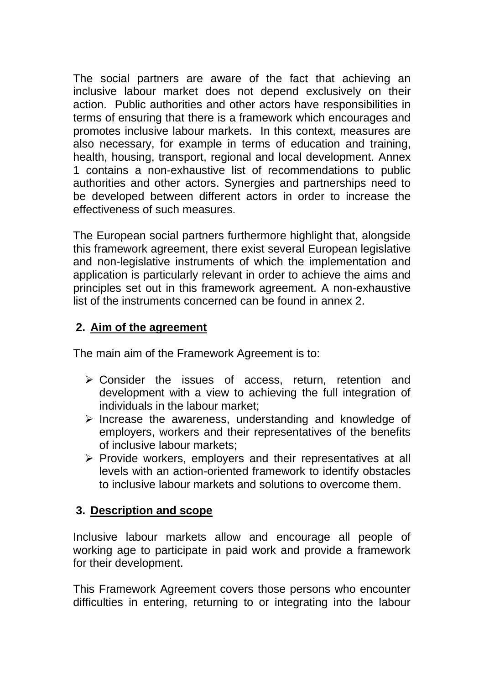The social partners are aware of the fact that achieving an inclusive labour market does not depend exclusively on their action. Public authorities and other actors have responsibilities in terms of ensuring that there is a framework which encourages and promotes inclusive labour markets. In this context, measures are also necessary, for example in terms of education and training, health, housing, transport, regional and local development. Annex 1 contains a non-exhaustive list of recommendations to public authorities and other actors. Synergies and partnerships need to be developed between different actors in order to increase the effectiveness of such measures.

The European social partners furthermore highlight that, alongside this framework agreement, there exist several European legislative and non-legislative instruments of which the implementation and application is particularly relevant in order to achieve the aims and principles set out in this framework agreement. A non-exhaustive list of the instruments concerned can be found in annex 2.

# **2. Aim of the agreement**

The main aim of the Framework Agreement is to:

- ➢ Consider the issues of access, return, retention and development with a view to achieving the full integration of individuals in the labour market;
- ➢ Increase the awareness, understanding and knowledge of employers, workers and their representatives of the benefits of inclusive labour markets;
- ➢ Provide workers, employers and their representatives at all levels with an action-oriented framework to identify obstacles to inclusive labour markets and solutions to overcome them.

### **3. Description and scope**

Inclusive labour markets allow and encourage all people of working age to participate in paid work and provide a framework for their development.

This Framework Agreement covers those persons who encounter difficulties in entering, returning to or integrating into the labour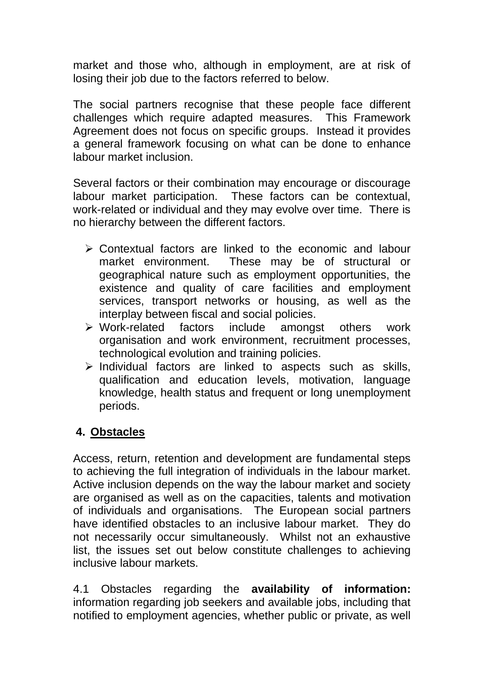market and those who, although in employment, are at risk of losing their job due to the factors referred to below.

The social partners recognise that these people face different challenges which require adapted measures. This Framework Agreement does not focus on specific groups. Instead it provides a general framework focusing on what can be done to enhance labour market inclusion.

Several factors or their combination may encourage or discourage labour market participation. These factors can be contextual, work-related or individual and they may evolve over time. There is no hierarchy between the different factors.

- ➢ Contextual factors are linked to the economic and labour market environment. These may be of structural or geographical nature such as employment opportunities, the existence and quality of care facilities and employment services, transport networks or housing, as well as the interplay between fiscal and social policies.
- ➢ Work-related factors include amongst others work organisation and work environment, recruitment processes, technological evolution and training policies.
- ➢ Individual factors are linked to aspects such as skills, qualification and education levels, motivation, language knowledge, health status and frequent or long unemployment periods.

# **4. Obstacles**

Access, return, retention and development are fundamental steps to achieving the full integration of individuals in the labour market. Active inclusion depends on the way the labour market and society are organised as well as on the capacities, talents and motivation of individuals and organisations. The European social partners have identified obstacles to an inclusive labour market. They do not necessarily occur simultaneously. Whilst not an exhaustive list, the issues set out below constitute challenges to achieving inclusive labour markets.

4.1 Obstacles regarding the **availability of information:**  information regarding job seekers and available jobs, including that notified to employment agencies, whether public or private, as well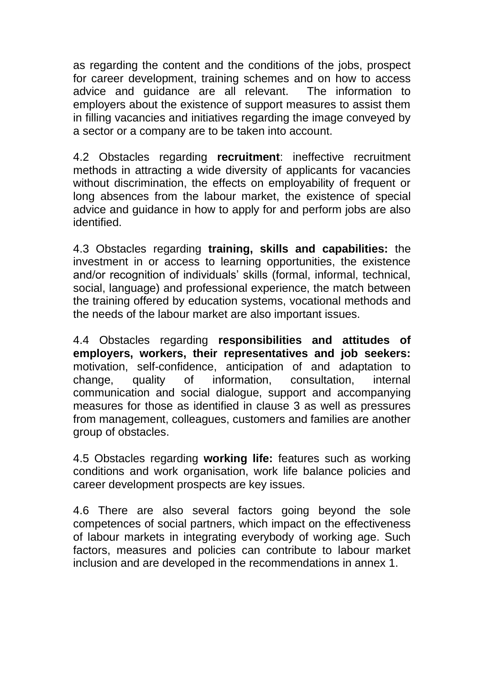as regarding the content and the conditions of the jobs, prospect for career development, training schemes and on how to access advice and guidance are all relevant. The information to employers about the existence of support measures to assist them in filling vacancies and initiatives regarding the image conveyed by a sector or a company are to be taken into account.

4.2 Obstacles regarding **recruitment**: ineffective recruitment methods in attracting a wide diversity of applicants for vacancies without discrimination, the effects on employability of frequent or long absences from the labour market, the existence of special advice and guidance in how to apply for and perform jobs are also identified.

4.3 Obstacles regarding **training, skills and capabilities:** the investment in or access to learning opportunities, the existence and/or recognition of individuals' skills (formal, informal, technical, social, language) and professional experience, the match between the training offered by education systems, vocational methods and the needs of the labour market are also important issues.

4.4 Obstacles regarding **responsibilities and attitudes of employers, workers, their representatives and job seekers:**  motivation, self-confidence, anticipation of and adaptation to change, quality of information, consultation, internal communication and social dialogue, support and accompanying measures for those as identified in clause 3 as well as pressures from management, colleagues, customers and families are another group of obstacles.

4.5 Obstacles regarding **working life:** features such as working conditions and work organisation, work life balance policies and career development prospects are key issues.

4.6 There are also several factors going beyond the sole competences of social partners, which impact on the effectiveness of labour markets in integrating everybody of working age. Such factors, measures and policies can contribute to labour market inclusion and are developed in the recommendations in annex 1.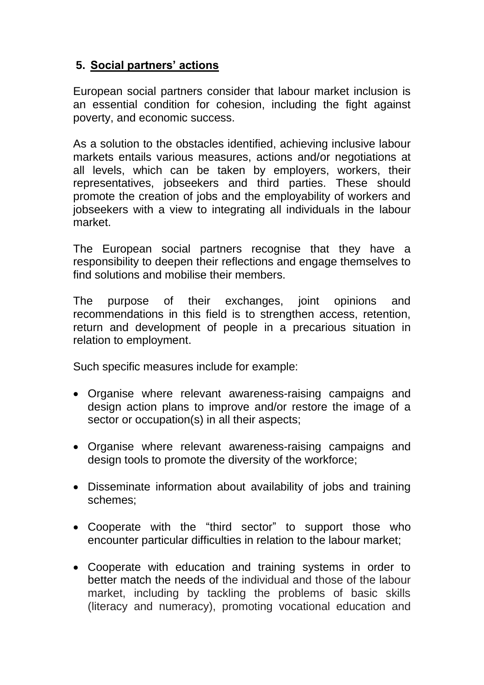# **5. Social partners' actions**

European social partners consider that labour market inclusion is an essential condition for cohesion, including the fight against poverty, and economic success.

As a solution to the obstacles identified, achieving inclusive labour markets entails various measures, actions and/or negotiations at all levels, which can be taken by employers, workers, their representatives, jobseekers and third parties. These should promote the creation of jobs and the employability of workers and jobseekers with a view to integrating all individuals in the labour market.

The European social partners recognise that they have a responsibility to deepen their reflections and engage themselves to find solutions and mobilise their members.

The purpose of their exchanges, joint opinions and recommendations in this field is to strengthen access, retention, return and development of people in a precarious situation in relation to employment.

Such specific measures include for example:

- Organise where relevant awareness-raising campaigns and design action plans to improve and/or restore the image of a sector or occupation(s) in all their aspects;
- Organise where relevant awareness-raising campaigns and design tools to promote the diversity of the workforce;
- Disseminate information about availability of jobs and training schemes;
- Cooperate with the "third sector" to support those who encounter particular difficulties in relation to the labour market;
- Cooperate with education and training systems in order to better match the needs of the individual and those of the labour market, including by tackling the problems of basic skills (literacy and numeracy), promoting vocational education and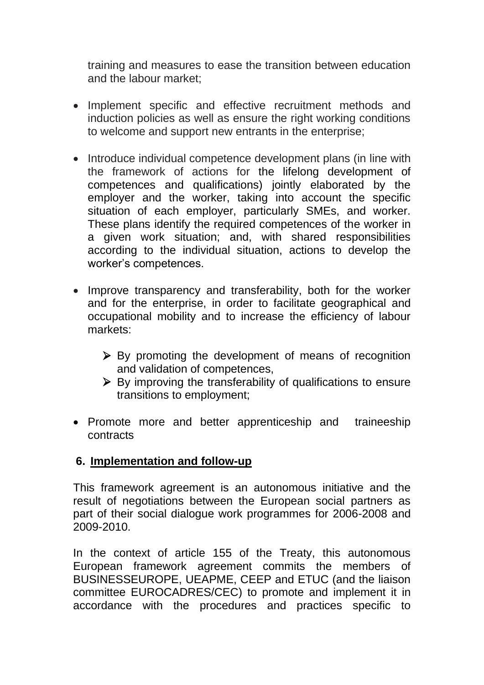training and measures to ease the transition between education and the labour market;

- Implement specific and effective recruitment methods and induction policies as well as ensure the right working conditions to welcome and support new entrants in the enterprise;
- Introduce individual competence development plans (in line with the framework of actions for the lifelong development of competences and qualifications) jointly elaborated by the employer and the worker, taking into account the specific situation of each employer, particularly SMEs, and worker. These plans identify the required competences of the worker in a given work situation; and, with shared responsibilities according to the individual situation, actions to develop the worker's competences.
- Improve transparency and transferability, both for the worker and for the enterprise, in order to facilitate geographical and occupational mobility and to increase the efficiency of labour markets:
	- ➢ By promoting the development of means of recognition and validation of competences,
	- ➢ By improving the transferability of qualifications to ensure transitions to employment;
- Promote more and better apprenticeship and traineeship contracts

#### **6. Implementation and follow-up**

This framework agreement is an autonomous initiative and the result of negotiations between the European social partners as part of their social dialogue work programmes for 2006-2008 and 2009-2010.

In the context of article 155 of the Treaty, this autonomous European framework agreement commits the members of BUSINESSEUROPE, UEAPME, CEEP and ETUC (and the liaison committee EUROCADRES/CEC) to promote and implement it in accordance with the procedures and practices specific to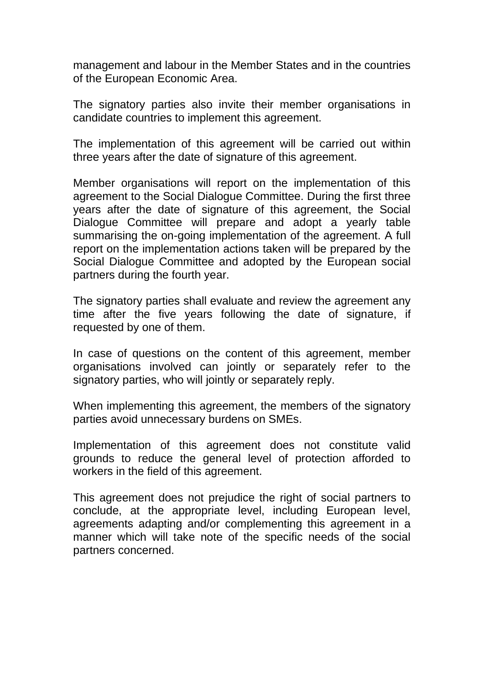management and labour in the Member States and in the countries of the European Economic Area.

The signatory parties also invite their member organisations in candidate countries to implement this agreement.

The implementation of this agreement will be carried out within three years after the date of signature of this agreement.

Member organisations will report on the implementation of this agreement to the Social Dialogue Committee. During the first three years after the date of signature of this agreement, the Social Dialogue Committee will prepare and adopt a yearly table summarising the on-going implementation of the agreement. A full report on the implementation actions taken will be prepared by the Social Dialogue Committee and adopted by the European social partners during the fourth year.

The signatory parties shall evaluate and review the agreement any time after the five years following the date of signature, if requested by one of them.

In case of questions on the content of this agreement, member organisations involved can jointly or separately refer to the signatory parties, who will jointly or separately reply.

When implementing this agreement, the members of the signatory parties avoid unnecessary burdens on SMEs.

Implementation of this agreement does not constitute valid grounds to reduce the general level of protection afforded to workers in the field of this agreement.

This agreement does not prejudice the right of social partners to conclude, at the appropriate level, including European level, agreements adapting and/or complementing this agreement in a manner which will take note of the specific needs of the social partners concerned.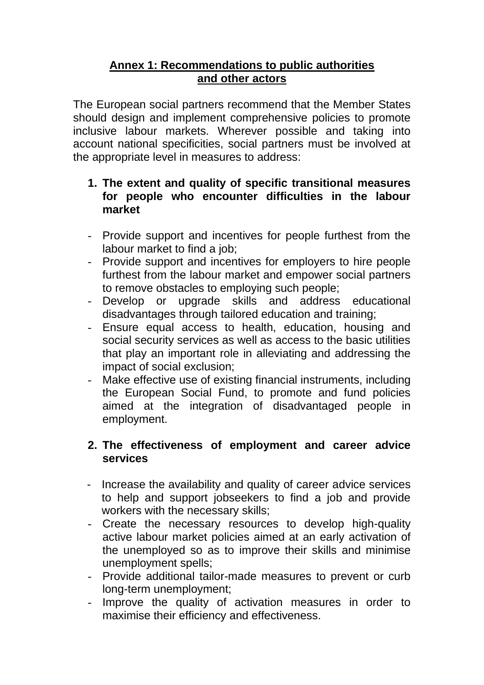## **Annex 1: Recommendations to public authorities and other actors**

The European social partners recommend that the Member States should design and implement comprehensive policies to promote inclusive labour markets. Wherever possible and taking into account national specificities, social partners must be involved at the appropriate level in measures to address:

#### **1. The extent and quality of specific transitional measures for people who encounter difficulties in the labour market**

- Provide support and incentives for people furthest from the labour market to find a job;
- Provide support and incentives for employers to hire people furthest from the labour market and empower social partners to remove obstacles to employing such people;
- Develop or upgrade skills and address educational disadvantages through tailored education and training;
- Ensure equal access to health, education, housing and social security services as well as access to the basic utilities that play an important role in alleviating and addressing the impact of social exclusion;
- Make effective use of existing financial instruments, including the European Social Fund, to promote and fund policies aimed at the integration of disadvantaged people in employment.

# **2. The effectiveness of employment and career advice services**

- Increase the availability and quality of career advice services to help and support jobseekers to find a job and provide workers with the necessary skills;
- Create the necessary resources to develop high-quality active labour market policies aimed at an early activation of the unemployed so as to improve their skills and minimise unemployment spells;
- Provide additional tailor-made measures to prevent or curb long-term unemployment;
- Improve the quality of activation measures in order to maximise their efficiency and effectiveness.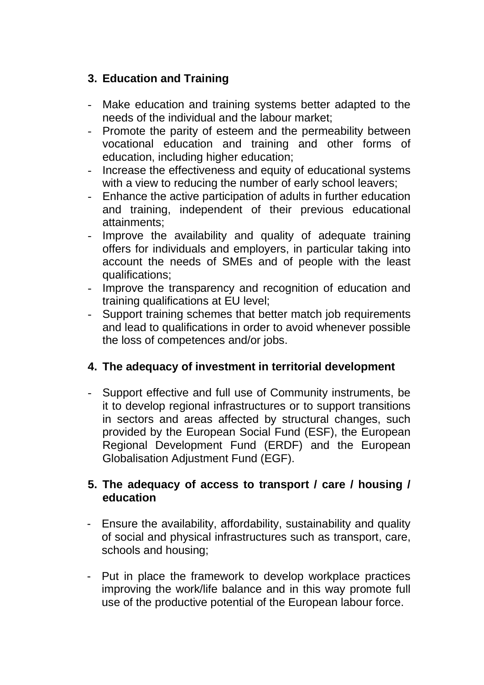# **3. Education and Training**

- Make education and training systems better adapted to the needs of the individual and the labour market;
- Promote the parity of esteem and the permeability between vocational education and training and other forms of education, including higher education;
- Increase the effectiveness and equity of educational systems with a view to reducing the number of early school leavers;
- Enhance the active participation of adults in further education and training, independent of their previous educational attainments;
- Improve the availability and quality of adequate training offers for individuals and employers, in particular taking into account the needs of SMEs and of people with the least qualifications;
- Improve the transparency and recognition of education and training qualifications at EU level;
- Support training schemes that better match job requirements and lead to qualifications in order to avoid whenever possible the loss of competences and/or jobs.

# **4. The adequacy of investment in territorial development**

Support effective and full use of Community instruments, be it to develop regional infrastructures or to support transitions in sectors and areas affected by structural changes, such provided by the European Social Fund (ESF), the European Regional Development Fund (ERDF) and the European Globalisation Adjustment Fund (EGF).

# **5. The adequacy of access to transport / care / housing / education**

- Ensure the availability, affordability, sustainability and quality of social and physical infrastructures such as transport, care, schools and housing;
- Put in place the framework to develop workplace practices improving the work/life balance and in this way promote full use of the productive potential of the European labour force.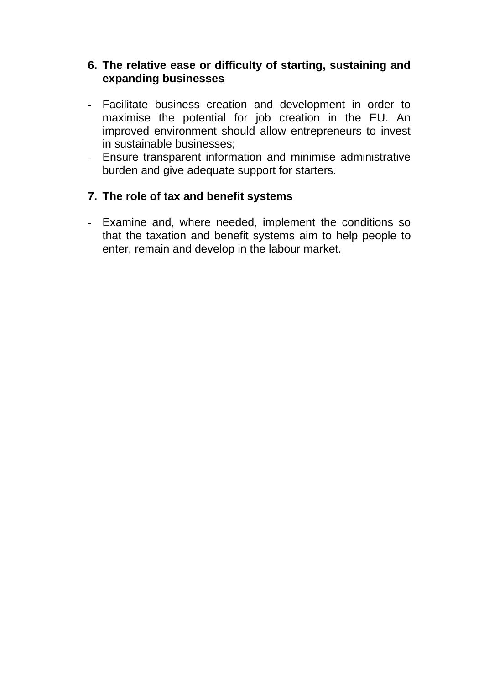### **6. The relative ease or difficulty of starting, sustaining and expanding businesses**

- Facilitate business creation and development in order to maximise the potential for job creation in the EU. An improved environment should allow entrepreneurs to invest in sustainable businesses;
- Ensure transparent information and minimise administrative burden and give adequate support for starters.

# **7. The role of tax and benefit systems**

- Examine and, where needed, implement the conditions so that the taxation and benefit systems aim to help people to enter, remain and develop in the labour market.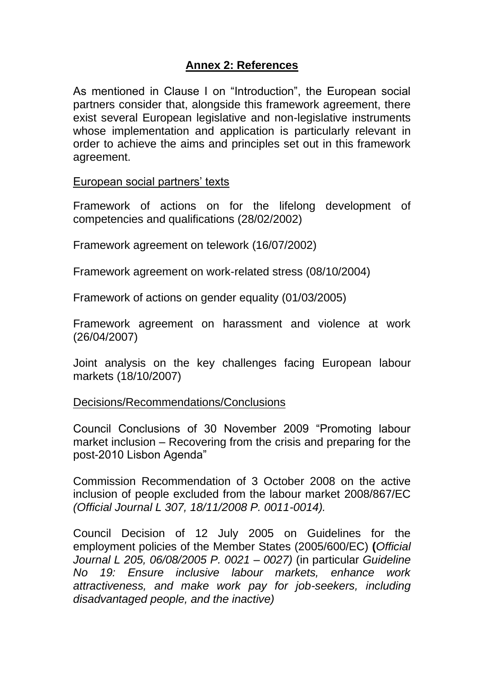# **Annex 2: References**

As mentioned in Clause I on "Introduction", the European social partners consider that, alongside this framework agreement, there exist several European legislative and non-legislative instruments whose implementation and application is particularly relevant in order to achieve the aims and principles set out in this framework agreement.

European social partners' texts

Framework of actions on for the lifelong development of competencies and qualifications (28/02/2002)

Framework agreement on telework (16/07/2002)

Framework agreement on work-related stress (08/10/2004)

Framework of actions on gender equality (01/03/2005)

Framework agreement on harassment and violence at work (26/04/2007)

Joint analysis on the key challenges facing European labour markets (18/10/2007)

Decisions/Recommendations/Conclusions

Council Conclusions of 30 November 2009 "Promoting labour market inclusion – Recovering from the crisis and preparing for the post-2010 Lisbon Agenda"

Commission Recommendation of 3 October 2008 on the active inclusion of people excluded from the labour market 2008/867/EC *(Official Journal L 307, 18/11/2008 P. 0011-0014).*

Council Decision of 12 July 2005 on Guidelines for the employment policies of the Member States (2005/600/EC) **(***Official Journal L 205, 06/08/2005 P. 0021 – 0027)* (in particular *Guideline No 19: Ensure inclusive labour markets, enhance work attractiveness, and make work pay for job-seekers, including disadvantaged people, and the inactive)*